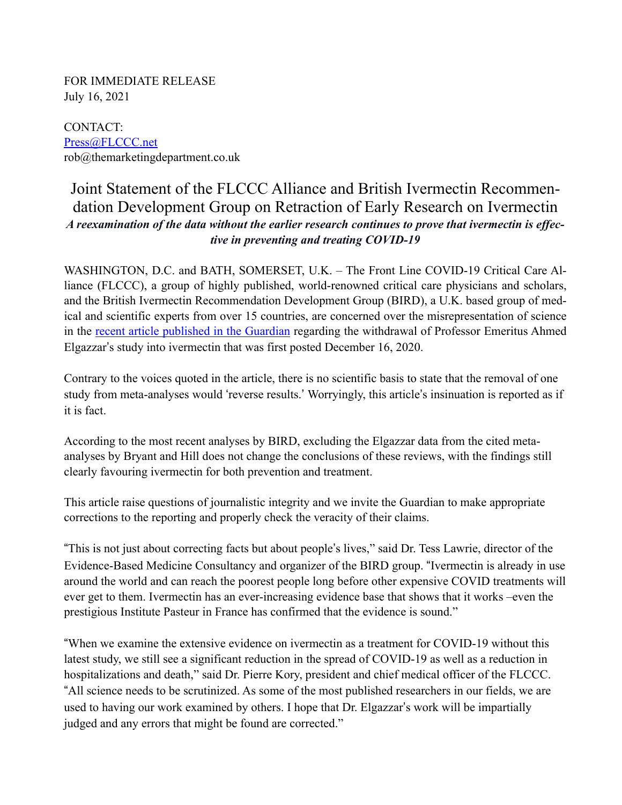FOR IMMEDIATE RELEASE July 16, 2021

CONTACT: [Press@FLCCC.net](mailto:Press@FLCCC.net) rob@themarketingdepartment.co.uk

## Joint Statement of the FLCCC Alliance and British Ivermectin Recommendation Development Group on Retraction of Early Research on Ivermectin *A reexamination of the data without the earlier research continues to prove that ivermectin is effective in preventing and treating COVID-19*

WASHINGTON, D.C. and BATH, SOMERSET, U.K. – The Front Line COVID-19 Critical Care Alliance (FLCCC), a group of highly published, world-renowned critical care physicians and scholars, and the British Ivermectin Recommendation Development Group (BIRD), a U.K. based group of medical and scientific experts from over 15 countries, are concerned over the misrepresentation of science in the [recent article published in the Guardian](https://www.theguardian.com/science/2021/jul/16/huge-study-supporting-ivermectin-as-covid-treatment-withdrawn-over-ethical-concerns) regarding the withdrawal of Professor Emeritus Ahmed Elgazzar's study into ivermectin that was first posted December 16, 2020.

Contrary to the voices quoted in the article, there is no scientific basis to state that the removal of one study from meta-analyses would 'reverse results.' Worryingly, this article's insinuation is reported as if it is fact.

According to the most recent analyses by BIRD, excluding the Elgazzar data from the cited metaanalyses by Bryant and Hill does not change the conclusions of these reviews, with the findings still clearly favouring ivermectin for both prevention and treatment.

This article raise questions of journalistic integrity and we invite the Guardian to make appropriate corrections to the reporting and properly check the veracity of their claims.

"This is not just about correcting facts but about people's lives," said Dr. Tess Lawrie, director of the Evidence-Based Medicine Consultancy and organizer of the BIRD group. "Ivermectin is already in use around the world and can reach the poorest people long before other expensive COVID treatments will ever get to them. Ivermectin has an ever-increasing evidence base that shows that it works –even the prestigious Institute Pasteur in France has confirmed that the evidence is sound."

"When we examine the extensive evidence on ivermectin as a treatment for COVID-19 without this latest study, we still see a significant reduction in the spread of COVID-19 as well as a reduction in hospitalizations and death," said Dr. Pierre Kory, president and chief medical officer of the FLCCC. "All science needs to be scrutinized. As some of the most published researchers in our fields, we are used to having our work examined by others. I hope that Dr. Elgazzar's work will be impartially judged and any errors that might be found are corrected."